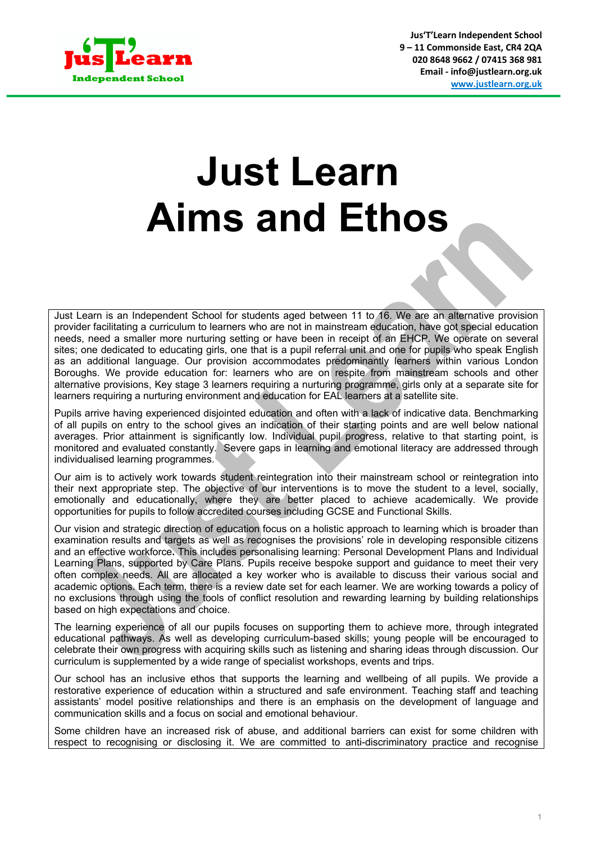

**Jus'T'Learn Independent School 9 – 11 Commonside East, CR4 2QA 020 8648 9662 / 07415 368 981 Email - info@justlearn.org.uk www.justlearn.org.uk**

## **Just Learn Aims and Ethos**

Just Learn is an Independent School for students aged between 11 to 16. We are an alternative provision provider facilitating a curriculum to learners who are not in mainstream education, have got special education needs, need a smaller more nurturing setting or have been in receipt of an EHCP. We operate on several sites; one dedicated to educating girls, one that is a pupil referral unit and one for pupils who speak English as an additional language. Our provision accommodates predominantly learners within various London Boroughs. We provide education for: learners who are on respite from mainstream schools and other alternative provisions, Key stage 3 learners requiring a nurturing programme, girls only at a separate site for learners requiring a nurturing environment and education for EAL learners at a satellite site.

Pupils arrive having experienced disjointed education and often with a lack of indicative data. Benchmarking of all pupils on entry to the school gives an indication of their starting points and are well below national averages. Prior attainment is significantly low. Individual pupil progress, relative to that starting point, is monitored and evaluated constantly. Severe gaps in learning and emotional literacy are addressed through individualised learning programmes.

Our aim is to actively work towards student reintegration into their mainstream school or reintegration into their next appropriate step. The objective of our interventions is to move the student to a level, socially, emotionally and educationally, where they are better placed to achieve academically. We provide opportunities for pupils to follow accredited courses including GCSE and Functional Skills.

Our vision and strategic direction of education focus on a holistic approach to learning which is broader than examination results and targets as well as recognises the provisions' role in developing responsible citizens and an effective workforce**.** This includes personalising learning: Personal Development Plans and Individual Learning Plans, supported by Care Plans. Pupils receive bespoke support and guidance to meet their very often complex needs. All are allocated a key worker who is available to discuss their various social and academic options. Each term, there is a review date set for each learner. We are working towards a policy of no exclusions through using the tools of conflict resolution and rewarding learning by building relationships based on high expectations and choice.

The learning experience of all our pupils focuses on supporting them to achieve more, through integrated educational pathways. As well as developing curriculum-based skills; young people will be encouraged to celebrate their own progress with acquiring skills such as listening and sharing ideas through discussion. Our curriculum is supplemented by a wide range of specialist workshops, events and trips.

Our school has an inclusive ethos that supports the learning and wellbeing of all pupils. We provide a restorative experience of education within a structured and safe environment. Teaching staff and teaching assistants' model positive relationships and there is an emphasis on the development of language and communication skills and a focus on social and emotional behaviour.

Some children have an increased risk of abuse, and additional barriers can exist for some children with respect to recognising or disclosing it. We are committed to anti-discriminatory practice and recognise